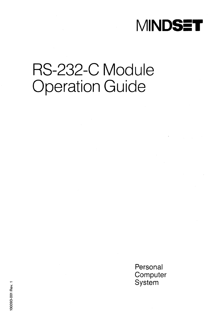

## RS-232-C Module **Operation Guide**

Personal Computer System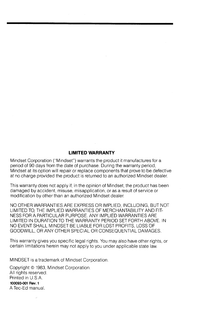#### **LIMITED WARRANTY**

Mindset Corporation ("Mindset") warrants the product it manufactures for a period of 90 days from the date of purchase. During the warranty period, Mindset at its option will repair or replace components that prove to be defective at no charge provided the product is returned to an authorized Mindset dealer.

This warranty does not apply if, in the opinion of Mindset, the product has been damaged by accident, misuse, misapplication, or as a result of service or modification by other than an authorized Mindset dealer.

NO OTHER WARRANTIES ARE EXPRESS OR IMPLIED, INCLUDING, BUT NOT LIMITED TO, THE IMPLIED WARRANTIES OF MERCHANTABILITY AND FIT-NESS FOR A PARTICULAR PURPOSE. ANY IMPLIED WARRANTIES ARE LIMITED IN DURATION TO THE WARRANTY PERIOD SET FORTH ABOVE. IN NO EVENT SHALL MINDSET BE LIABLE FOR LOST PROFITS, LOSS OF GOODWILL, OR ANY OTHER SPECIAL OR CONSEQUENTIAL DAMAGES.

This warranty gives you specific legal rights. You may also have other rights, or certain limitations herein may not apply to you under applicable state law.

MINDSET is a trademark of Mindset Corporation.

Copyright © 1983, Mindset Corporation. All rights reserved. Printed in U.S.A. **100093-001 Rev.** 1 A Tec-Ed manual.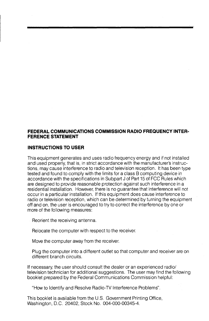#### **FEDERAL COMMUNICATIONS COMMISSION RADIO FREQUENCY INTER-FERENCE STATEMENT**

#### **INSTRUCTIONS TO USER**

This equipment generates and uses radio frequency energy and if not installed and used properly, that is, in strict accordance with the manufacturer's instructions, may cause interference to radio and television reception. It has been type tested and found to comply with the limits for a class B computing device in accordance with the specifications in Subpart J of Part 15 of FCC Rules which are designed to provide reasonable protection against such interference in a residential installation. However, there is no guarantee that interference will not occur in a particular installation. If this equipment does cause interference to radio or television reception, which can be determined by turning the equipment off and on, the user is encouraged to try to correct the interference by one or more of the following measures:

Reorient the receiving antenna.

Relocate the computer with respect to the receiver.

Move the computer away from the receiver.

Plug the computer into a different outlet so that computer and receiver are on different branch circuits.

If necessary, the user should consult the dealer or an experienced radio/ television technician for additional suggestions. The user may find the following booklet prepared by the Federal Communications Commission helpful:

"How to Identify and Resolve Radio-TV Interference Problems".

This booklet is available from the U.S. Government Printing Office, Washington, D.C. 20402, Stock No. 004-000-00345-4.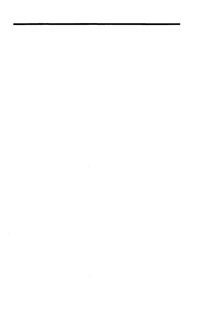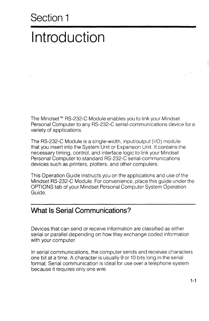### **Section 1**

### **Introduction**

The Mindset™ RS-232-C Module enables you to link your Mindset Personal Computer to any RS-232-C serial-communications device for a variety of applications.

The RS-232-C Module is a single-width, input/output (I/O) module that you insert into the System Unit or Expansion Unit. It contains the necessary timing, control, and interface logic to link your Mindset Personal Computer to standard RS-232-C serial-communications devices such as printers, plotters, and other computers.

This Operation Guide instructs you on the applications and use of the Mindset RS-232-C Module. For convenience, place this guide under the OPTIONS tab of your Mindset Personal Computer System Operation Guide.

#### **What Is Serial Communications?**

Devices that can send or receive information are classified as either serial or parallel depending on how they exchange coded information with your computer.

In serial communications, the computer sends and receives characters one bit at a time. A character is usually 9 or 10 bits long in the serial format. Serial communication is ideal for use over a telephone system because it requires only one wire.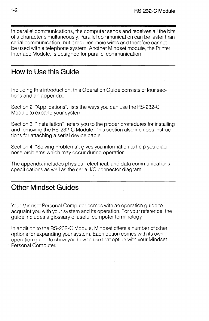**In** parallel communications, the computer sends and receives all the bits of a character simultaneously. Parallel communication can be faster than serial communication, but it requires more wires and therefore cannot be used with a telephone system. Another Mindset module, the Printer Interface Module, is designed for parallel communication.

#### **How to Use this Guide**

Including this introduction, this Operation Guide consists of four sections and an appendix.

Section 2, "Applications", lists the ways you can use the RS-232-C Module to expand your system.

Section 3, "Installation", refers you to the proper procedures for installing and removing the RS-232-C Module. This section also includes instructions for attaching a serial device cable.

Section 4, "Solving Problems", gives you information to help you diagnose problems which may occur during operation.

The appendix includes physical, electrical, and data communications specifications as well as the serial I/O connector diagram.

#### **Other Mindset Guides**

Your Mindset Personal Computer comes with an operation guide to acquaint you with your system and its operation. For your reference, the guide includes a glossary of useful computer terminology.

In addition to the RS-232-C Module, Mindset offers a number of other options for expanding your system. Each option comes with its own operation guide to show you how to use that option with your Mindset Personal Computer.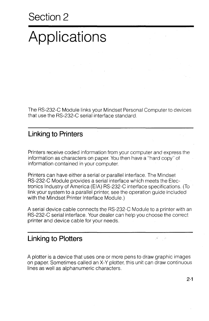### **Section 2**

## **Applications**

The RS-232-C Module links your Mindset Personal Computer to devices that use the RS-232-C serial interface standard.

#### **Linking to Printers**

Printers receive coded information from your computer and express the information as characters on paper. You then have a "hard copy" of information contained in your computer.

Printers can have either a serial or parallel interface. The Mindset RS-232-C Module provides a serial interface which meets the Electronics Industry of America (EIA) RS-232-C interface specifications. (To link your system to a parallel printer, see the operation guide included with the Mindset Printer Interface Module.)

A serial device cable connects the RS-232-C Module to a printer with an RS-232-C serial interface. Your dealer can help you choose the correct printer and device cable for your needs.

#### **Linking to Plotters**

A plotter is a device that uses one or more pens to draw graphic images on paper. Sometimes called an X-Y plotter, this unit can draw continuous lines as well as alphanumeric characters.

46 - B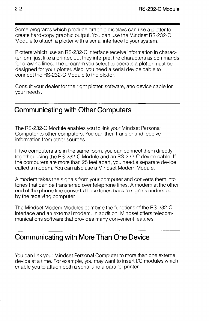Some programs which produce graphic displays can use a plotter to create hard-copy graphic output. You can use the Mindset RS-232-C Module to attach a plotter with a serial interface to your system.

Plotters which use an RS-232-C interface receive information in character form just like a printer, but they interpret the characters as commands for drawing lines. The program you select to operate a plotter must be designed for your plotter. Also, you need a serial device cable to connect the RS-232-C Module to the plotter.

Consult your dealer for the right plotter, software, and device cable for your needs.

#### **Communicating with Other Computers**

The RS-232-C Module enables you to link your Mindset Personal Computer to other computers. You can then transfer and receive information from other sources.

If two computers are in the same room, you can connect them directly together using the RS-232-C Module and an RS-232-C device cable. If the computers are more than 25 feet apart, you need a separate device called a modem. You can also use a Mindset Modem Module.

A modem takes the signals from your computer and converts them into tones that can be transferred over telephone lines. A modem at the other end of the phone line converts these tones back to signals understood by the receiving computer.

The Mindset Modem Modules combine the functions of the RS-232-C interface and an external modem. In addition, Mindset offers telecommunications software that provides many convenient features.

#### **Communicating with More Than One Device**

You can link your Mindset Personal Computer to more than one external device at a time. For example, you may want to insert I/O modules which enable you to attach both a serial and a parallel printer.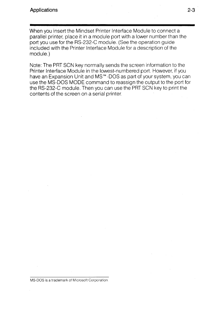When you insert the Mindset Printer Interface Module to connect a parallel printer, place it in a module port with a lower number than the port you use for the RS-232-C module. (See the operation guide included with the Printer Interface Module for a description of the module.)

Note: The PRT SCN key normally sends the screen information to the Printer Interface Module in the lowest-numbered port. However, if you have an Expansion Unit and MS ™ -DOS as part of your system, you can use the MS-DOS MODE command to reassign the output to the port for the RS-232-C module. Then you can use the PRT SCN key to print the contents of the screen on a serial printer.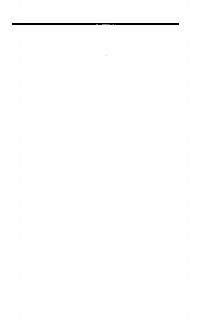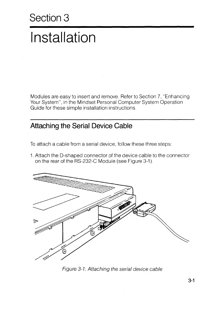### **Section 3 Installation**

Modules are easy to insert and remove. Refer to Section 7, "Enhancing Your System", in the Mindset Personal Computer System Operation Guide for these simple installation instructions.

#### **Attaching the Serial Device Cable**

To attach a cable from a serial device, follow these three steps:

1. Attach the D-shaped connector of the device cable to the connector on the rear of the RS-232-C Module (see Figure 3-1).



Figure 3-1: Attaching the serial device cable

**3-1**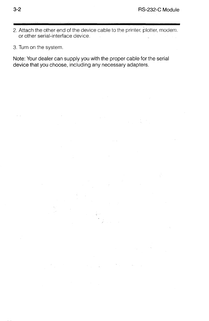- 2. Attach the other end of the device cable to the printer, plotter, modem. or other serial-interface device.
- 3. Turn on the system.

Note: Your dealer can supply you with the proper cable for the serial device that you choose, including any necessary adapters.

i.

 $\frac{d\mathcal{L}_{\text{max}}}{d\mathcal{L}_{\text{max}}}\leq \frac{d\mathcal{L}_{\text{max}}}{d\mathcal{L}_{\text{max}}},$ 

 $\label{eq:2.1} \mathcal{F}_{\text{max}} = \frac{1}{2\pi}\sum_{i=1}^{N} \frac{1}{\left(1-\frac{1}{2}\right)^{2}} \sum_{i=1}^{N} \frac{1}{\left(1-\frac{1}{2}\right)^{2}} \sum_{i=1}^{N} \frac{1}{\left(1-\frac{1}{2}\right)^{2}} \sum_{i=1}^{N} \frac{1}{\left(1-\frac{1}{2}\right)^{2}} \sum_{i=1}^{N} \frac{1}{\left(1-\frac{1}{2}\right)^{2}} \sum_{i=1}^{N} \frac{1}{\left(1-\frac{1}{2}\right)^{2}} \sum_{i=$ 

 $\mathcal{L}^{\mathcal{L}}$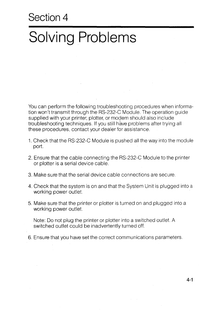### **Section 4**

## **Solving Problems**

You can perform the following troubleshooting procedures when information won't transmit through the RS-232-C Module. The operation guide supplied with your printer, plotter, or modem should also include troubleshooting techniques. If you still have problems after trying all these procedures, contact your dealer for assistance.

- 1. Check that the RS-232-C Module is pushed all the way into the module port.
- 2. Ensure that the cable connecting the RS-232-C Module to the printer or plotter is a serial device cable.
- 3. Make sure that the serial device cable connections are secure.
- 4. Check that the system is on and that the System Unit is plugged into a working power outlet.
- 5. Make sure that the printer or plotter is turned on and plugged into a working power outlet.

Note: Do not plug the printer or plotter into a switched outlet. A switched outlet could be inadvertently turned off.

6. Ensure that you have set the correct communications parameters.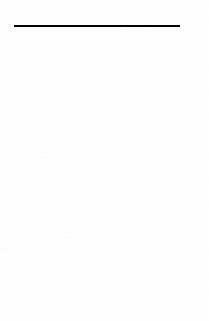I'll  $\mathcal{L}(\mathcal{L})$  and  $\mathcal{L}(\mathcal{L})$  .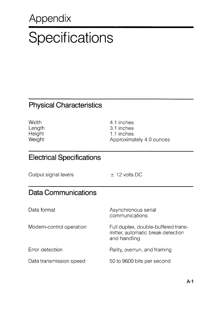## **Appendix**

# **Specif ications**

#### **Physical Characteristics**

**Width** Length **Height Weight** 

4.1 inches 3.1 inches 1.1 inches Approximately 4.0 ounces

#### **Electrical Specifications**

Output signal levels

 $\pm$  12 volts DC

#### **Data Communications**

Data format

Modem-control operation

Error detection

Data transmission speed

Asynchronous serial communications

Full duplex, double-buffered transmitter, automatic break detection and handling

Parity, overrun, and framing

50 to 9600 bits per second

**A-1**